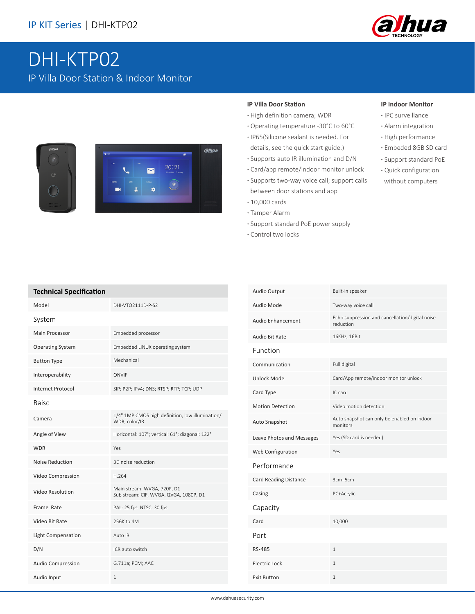

# DHI-KTP02 IP Villa Door Station & Indoor Monitor





#### **IP Villa Door Station**

- **·** High definition camera; WDR
- **·** Operating temperature -30°C to 60°C
- **·** IP65(Silicone sealant is needed. For
- details, see the quick start guide.)
- **·** Supports auto IR illumination and D/N
- **·** Card/app remote/indoor monitor unlock
- **·** Supports two-way voice call; support calls between door stations and app
- **·** 10,000 cards
- **·** Tamper Alarm
- **·** Support standard PoE power supply
- **·** Control two locks

#### **IP Indoor Monitor**

- **·** IPC surveillance
- **·** Alarm integration
	- **·** High performance
	- **·** Embeded 8GB SD card
	- **·** Support standard PoE
	- **·** Quick configuration without computers

| <b>Technical Specification</b> |
|--------------------------------|

| <b>Technical Specification</b> |                                                                       |
|--------------------------------|-----------------------------------------------------------------------|
| Model                          | DHI-VTO2111D-P-S2                                                     |
| System                         |                                                                       |
| <b>Main Processor</b>          | Embedded processor                                                    |
| <b>Operating System</b>        | Embedded LINUX operating system                                       |
| <b>Button Type</b>             | Mechanical                                                            |
| Interoperability               | ONVIF                                                                 |
| Internet Protocol              | SIP; P2P; IPv4; DNS; RTSP; RTP; TCP; UDP                              |
| Baisc                          |                                                                       |
| Camera                         | 1/4" 1MP CMOS high definition, low illumination/<br>WDR, color/IR     |
| Angle of View                  | Horizontal: 107°; vertical: 61°; diagonal: 122°                       |
| <b>WDR</b>                     | Yes                                                                   |
| Noise Reduction                | 3D noise reduction                                                    |
| Video Compression              | H.264                                                                 |
| Video Resolution               | Main stream: WVGA, 720P, D1<br>Sub stream: CIF, WVGA, QVGA, 1080P, D1 |
| Frame Rate                     | PAL: 25 fps NTSC: 30 fps                                              |
| Video Bit Rate                 | 256K to 4M                                                            |
| <b>Light Compensation</b>      | Auto IR                                                               |
| D/N                            | ICR auto switch                                                       |
| <b>Audio Compression</b>       | G.711a; PCM; AAC                                                      |
| Audio Input                    | 1                                                                     |

| Audio Output              | Built-in speaker                                             |
|---------------------------|--------------------------------------------------------------|
| Audio Mode                | Two-way voice call                                           |
| <b>Audio Enhancement</b>  | Echo suppression and cancellation/digital noise<br>reduction |
| Audio Bit Rate            | 16KHz, 16Bit                                                 |
| Function                  |                                                              |
| Communication             | Full digital                                                 |
| <b>Unlock Mode</b>        | Card/App remote/indoor monitor unlock                        |
| Card Type                 | IC card                                                      |
| <b>Motion Detection</b>   | Video motion detection                                       |
| Auto Snapshot             | Auto snapshot can only be enabled on indoor<br>monitors      |
| Leave Photos and Messages | Yes (SD card is needed)                                      |
| Web Configuration         | Yes                                                          |
| Performance               |                                                              |
| Card Reading Distance     | 3cm-5cm                                                      |
| Casing                    | PC+Acrylic                                                   |
| Capacity                  |                                                              |
| Card                      | 10,000                                                       |
| Port                      |                                                              |
| RS-485                    | $\mathbf{1}$                                                 |
| Electric Lock             | 1                                                            |
| <b>Exit Button</b>        | 1                                                            |
|                           |                                                              |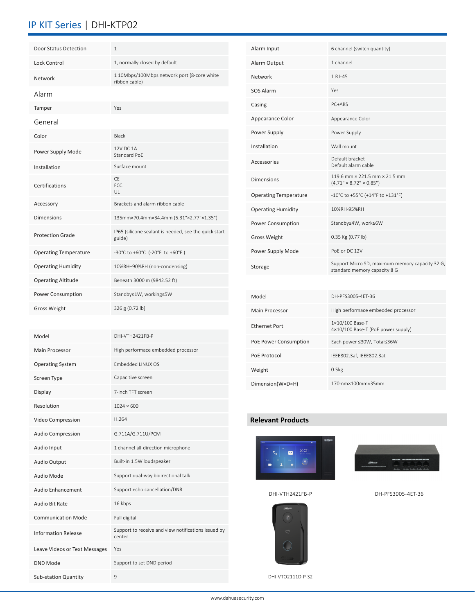### IP KIT Series | DHI-KTP02

| Door Status Detection        | $\mathbf{1}$                                                    |
|------------------------------|-----------------------------------------------------------------|
| Lock Control                 | 1, normally closed by default                                   |
| Network                      | 1 10Mbps/100Mbps network port (8-core white<br>ribbon cable)    |
| Alarm                        |                                                                 |
| Tamper                       | Yes                                                             |
| General                      |                                                                 |
| Color                        | <b>Black</b>                                                    |
| Power Supply Mode            | 12V DC 1A<br>Standard PoF                                       |
| Installation                 | Surface mount                                                   |
| Certifications               | CF.<br>FCC.<br>UL                                               |
| Accessory                    | Brackets and alarm ribbon cable                                 |
| <b>Dimensions</b>            | 135mm×70.4mm×34.4mm (5.31"×2.77"×1.35")                         |
| <b>Protection Grade</b>      | IP65 (silicone sealant is needed, see the quick start<br>guide) |
| <b>Operating Temperature</b> | -30°C to +60°C (-20°F to +60°F)                                 |
| <b>Operating Humidity</b>    | 10%RH-90%RH (non-condensing)                                    |
| <b>Operating Altitude</b>    | Beneath 3000 m (9842.52 ft)                                     |
| Power Consumption            | Standby≤1W, working≤5W                                          |
| <b>Gross Weight</b>          | 326 g (0.72 lb)                                                 |
|                              |                                                                 |

| Model                         | DHI-VTH2421FB-P                                               |
|-------------------------------|---------------------------------------------------------------|
| Main Processor                | High performace embedded processor                            |
| <b>Operating System</b>       | Embedded LINUX OS                                             |
| Screen Type                   | Capacitive screen                                             |
| Display                       | 7-inch TFT screen                                             |
| Resolution                    | $1024 \times 600$                                             |
| Video Compression             | H.264                                                         |
| <b>Audio Compression</b>      | G.711A/G.711U/PCM                                             |
| Audio Input                   | 1 channel all-direction microphone                            |
| Audio Output                  | Built-in 1.5W loudspeaker                                     |
| Audio Mode                    | Support dual-way bidirectional talk                           |
| Audio Enhancement             | Support echo cancellation/DNR                                 |
| Audio Bit Rate                | 16 kbps                                                       |
| <b>Communication Mode</b>     | Full digital                                                  |
| <b>Information Release</b>    | Support to receive and view notifications issued by<br>center |
| Leave Videos or Text Messages | Yes                                                           |
| DND Mode                      | Support to set DND period                                     |
| <b>Sub-station Quantity</b>   | 9                                                             |

| Alarm Input                  | 6 channel (switch quantity)                                                     |
|------------------------------|---------------------------------------------------------------------------------|
| Alarm Output                 | 1 channel                                                                       |
| Network                      | 1 RJ-45                                                                         |
| <b>SOS Alarm</b>             | Yes                                                                             |
| Casing                       | PC+ABS                                                                          |
| Appearance Color             | Appearance Color                                                                |
| Power Supply                 | Power Supply                                                                    |
| Installation                 | Wall mount                                                                      |
| Accessories                  | Default bracket<br>Default alarm cable                                          |
| <b>Dimensions</b>            | 119.6 mm × 221.5 mm × 21.5 mm<br>$(4.71" \times 8.72" \times 0.85")$            |
| <b>Operating Temperature</b> | -10°C to +55°C (+14°F to +131°F)                                                |
| <b>Operating Humidity</b>    | 10%RH-95%RH                                                                     |
| Power Consumption            | Standby≤4W, work≤6W                                                             |
| <b>Gross Weight</b>          | 0.35 Kg (0.77 lb)                                                               |
| Power Supply Mode            | PoE or DC 12V                                                                   |
| Storage                      | Support Micro SD, maximum memory capacity 32 G,<br>standard memory capacity 8 G |
|                              |                                                                                 |
| Model                        | DH-PFS3005-4ET-36                                                               |
| <b>Main Processor</b>        | High performace embedded processor                                              |
| <b>Ethernet Port</b>         | 1×10/100 Base-T<br>4×10/100 Base-T (PoE power supply)                           |
| PoE Power Consumption        | Each power ≤30W, Total≤36W                                                      |
| PoE Protocol                 | IEEE802.3af, IEEE802.3at                                                        |
| Weight                       | 0.5kg                                                                           |
| Dimension(W×D×H)             | 170mm×100mm×35mm                                                                |

#### **Relevant Products**







DHI-VTH2421FB-P DH-PFS3005-4ET-36

DHI-VTO2111D-P-S2